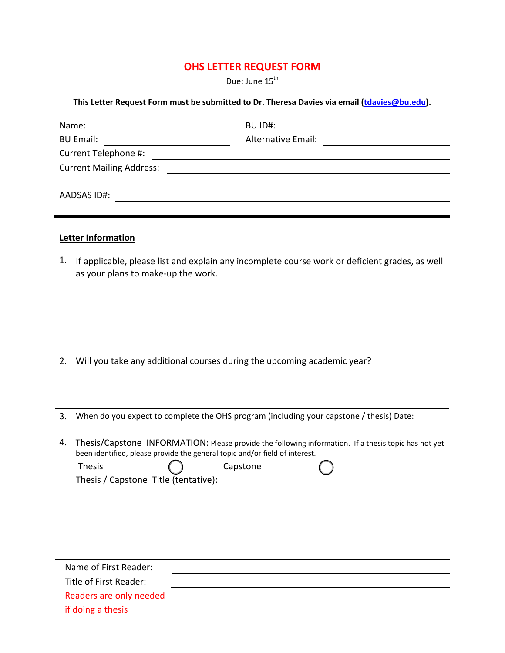# **OHS LETTER REQUEST FORM**

Due: June 15<sup>th</sup>

#### **This Letter Request Form must be submitted to Dr. Theresa Davies via email [\(tdavies@bu.edu\)](mailto:tdavies@bu.edu).**

| Name:                           | BU ID#:                   |  |
|---------------------------------|---------------------------|--|
| <b>BU Email:</b>                | <b>Alternative Email:</b> |  |
| Current Telephone #:            |                           |  |
| <b>Current Mailing Address:</b> |                           |  |
|                                 |                           |  |
| AADSAS ID#:                     |                           |  |
|                                 |                           |  |

### **Letter Information**

1. If applicable, please list and explain any incomplete course work or deficient grades, as well as your plans to make-up the work.

- 2. Will you take any additional courses during the upcoming academic year?
- 3. When do you expect to complete the OHS program (including your capstone / thesis) Date:
- 4. Thesis/Capstone INFORMATION: Please provide the following information. If a thesis topic has not yet been identified, please provide the general topic and/or field of interest.

Thesis () Capstone Thesis / Capstone Title (tentative):

Name of First Reader: Title of First Reader: Readers are only needed if doing a thesis